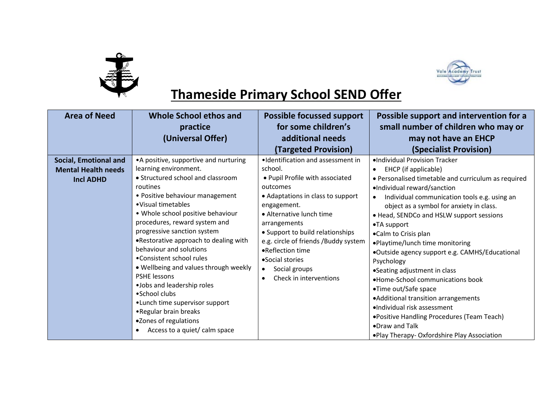



## **Thameside Primary School SEND Offer**

| <b>Area of Need</b>                                                     | Whole School ethos and<br>practice<br>(Universal Offer)                                                                                                                                                                                                                                                                                                                                                                                                                                                                                                                                                                           | <b>Possible focussed support</b><br>for some children's<br>additional needs<br>(Targeted Provision)                                                                                                                                                                                                                                                       | Possible support and intervention for a<br>small number of children who may or<br>may not have an EHCP<br>(Specialist Provision)                                                                                                                                                                                                                                                                                                                                                                                                                                                                                                                                                                                                         |
|-------------------------------------------------------------------------|-----------------------------------------------------------------------------------------------------------------------------------------------------------------------------------------------------------------------------------------------------------------------------------------------------------------------------------------------------------------------------------------------------------------------------------------------------------------------------------------------------------------------------------------------------------------------------------------------------------------------------------|-----------------------------------------------------------------------------------------------------------------------------------------------------------------------------------------------------------------------------------------------------------------------------------------------------------------------------------------------------------|------------------------------------------------------------------------------------------------------------------------------------------------------------------------------------------------------------------------------------------------------------------------------------------------------------------------------------------------------------------------------------------------------------------------------------------------------------------------------------------------------------------------------------------------------------------------------------------------------------------------------------------------------------------------------------------------------------------------------------------|
| Social, Emotional and<br><b>Mental Health needs</b><br><b>Incl ADHD</b> | • A positive, supportive and nurturing<br>learning environment.<br>• Structured school and classroom<br>routines<br>• Positive behaviour management<br>• Visual timetables<br>. Whole school positive behaviour<br>procedures, reward system and<br>progressive sanction system<br>.Restorative approach to dealing with<br>behaviour and solutions<br>•Consistent school rules<br>. Wellbeing and values through weekly<br><b>PSHE lessons</b><br>.Jobs and leadership roles<br>•School clubs<br>•Lunch time supervisor support<br>• Regular brain breaks<br>•Zones of regulations<br>Access to a quiet/ calm space<br>$\bullet$ | •Identification and assessment in<br>school.<br>• Pupil Profile with associated<br>outcomes<br>• Adaptations in class to support<br>engagement.<br>• Alternative lunch time<br>arrangements<br>• Support to build relationships<br>e.g. circle of friends /Buddy system<br>•Reflection time<br>•Social stories<br>Social groups<br>Check in interventions | ·Individual Provision Tracker<br>EHCP (if applicable)<br>$\bullet$<br>• Personalised timetable and curriculum as required<br>·Individual reward/sanction<br>Individual communication tools e.g. using an<br>$\bullet$<br>object as a symbol for anxiety in class.<br>• Head, SENDCo and HSLW support sessions<br>•TA support<br>•Calm to Crisis plan<br>.Playtime/lunch time monitoring<br>•Outside agency support e.g. CAMHS/Educational<br>Psychology<br>•Seating adjustment in class<br>•Home-School communications book<br>•Time out/Safe space<br>•Additional transition arrangements<br>·Individual risk assessment<br>.Positive Handling Procedures (Team Teach)<br>•Draw and Talk<br>. Play Therapy-Oxfordshire Play Association |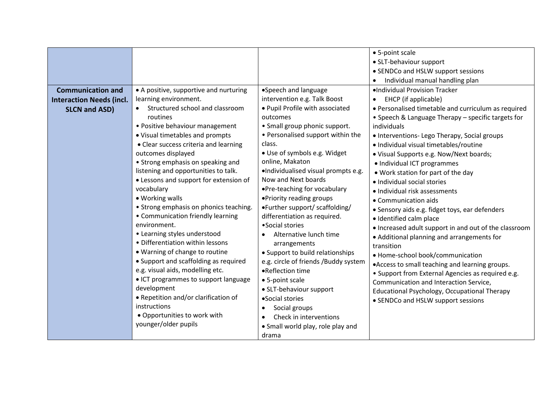| <b>Communication and</b><br><b>Interaction Needs (incl.</b><br><b>SLCN and ASD)</b> | • A positive, supportive and nurturing<br>learning environment.<br>Structured school and classroom<br>routines<br>• Positive behaviour management<br>• Visual timetables and prompts<br>• Clear success criteria and learning<br>outcomes displayed<br>• Strong emphasis on speaking and<br>listening and opportunities to talk.<br>• Lessons and support for extension of<br>vocabulary<br>• Working walls<br>• Strong emphasis on phonics teaching.<br>• Communication friendly learning<br>environment.<br>• Learning styles understood<br>• Differentiation within lessons | •Speech and language<br>intervention e.g. Talk Boost<br>. Pupil Profile with associated<br>outcomes<br>• Small group phonic support.<br>• Personalised support within the<br>class.<br>• Use of symbols e.g. Widget<br>online, Makaton<br>·Individualised visual prompts e.g.<br>Now and Next boards<br>.Pre-teaching for vocabulary<br>• Priority reading groups<br>•Further support/ scaffolding/<br>differentiation as required.<br>• Social stories<br>Alternative lunch time<br>arrangements | • 5-point scale<br>• SLT-behaviour support<br>• SENDCo and HSLW support sessions<br>Individual manual handling plan<br>·Individual Provision Tracker<br>EHCP (if applicable)<br>• Personalised timetable and curriculum as required<br>• Speech & Language Therapy – specific targets for<br>individuals<br>• Interventions- Lego Therapy, Social groups<br>· Individual visual timetables/routine<br>• Visual Supports e.g. Now/Next boards;<br>• Individual ICT programmes<br>. Work station for part of the day<br>· Individual social stories<br>• Individual risk assessments<br>• Communication aids<br>• Sensory aids e.g. fidget toys, ear defenders<br>· Identified calm place<br>• Increased adult support in and out of the classroom<br>• Additional planning and arrangements for<br>transition |
|-------------------------------------------------------------------------------------|--------------------------------------------------------------------------------------------------------------------------------------------------------------------------------------------------------------------------------------------------------------------------------------------------------------------------------------------------------------------------------------------------------------------------------------------------------------------------------------------------------------------------------------------------------------------------------|---------------------------------------------------------------------------------------------------------------------------------------------------------------------------------------------------------------------------------------------------------------------------------------------------------------------------------------------------------------------------------------------------------------------------------------------------------------------------------------------------|--------------------------------------------------------------------------------------------------------------------------------------------------------------------------------------------------------------------------------------------------------------------------------------------------------------------------------------------------------------------------------------------------------------------------------------------------------------------------------------------------------------------------------------------------------------------------------------------------------------------------------------------------------------------------------------------------------------------------------------------------------------------------------------------------------------|
|                                                                                     | • Warning of change to routine<br>• Support and scaffolding as required<br>e.g. visual aids, modelling etc.<br>• ICT programmes to support language<br>development<br>• Repetition and/or clarification of<br>instructions<br>• Opportunities to work with                                                                                                                                                                                                                                                                                                                     | • Support to build relationships<br>e.g. circle of friends /Buddy system<br>•Reflection time<br>• 5-point scale<br>· SLT-behaviour support<br>•Social stories<br>Social groups<br>Check in interventions                                                                                                                                                                                                                                                                                          | • Home-school book/communication<br>• Access to small teaching and learning groups.<br>• Support from External Agencies as required e.g.<br>Communication and Interaction Service,<br>Educational Psychology, Occupational Therapy<br>• SENDCo and HSLW support sessions                                                                                                                                                                                                                                                                                                                                                                                                                                                                                                                                     |
|                                                                                     | younger/older pupils                                                                                                                                                                                                                                                                                                                                                                                                                                                                                                                                                           | • Small world play, role play and<br>drama                                                                                                                                                                                                                                                                                                                                                                                                                                                        |                                                                                                                                                                                                                                                                                                                                                                                                                                                                                                                                                                                                                                                                                                                                                                                                              |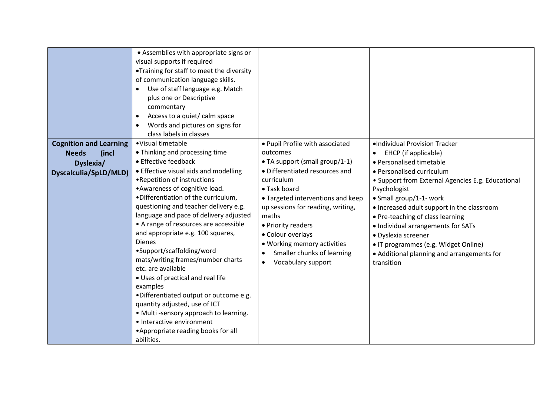| •Visual timetable<br><b>Cognition and Learning</b><br>• Pupil Profile with associated<br>·Individual Provision Tracker<br>• Thinking and processing time<br>outcomes<br>EHCP (if applicable)<br><b>Needs</b><br>(incl<br>٠<br>• Effective feedback<br>• TA support (small group/1-1)<br>· Personalised timetable<br>Dyslexia/<br>• Differentiated resources and<br>• Effective visual aids and modelling<br>• Personalised curriculum<br>Dyscalculia/SpLD/MLD)<br>•Repetition of instructions<br>curriculum<br>• Support from External Agencies E.g. Educational<br>• Awareness of cognitive load.<br>• Task board<br>Psychologist<br>.Differentiation of the curriculum,<br>• Targeted interventions and keep<br>• Small group/1-1- work<br>questioning and teacher delivery e.g.<br>up sessions for reading, writing,<br>• Increased adult support in the classroom<br>language and pace of delivery adjusted<br>maths<br>• Pre-teaching of class learning<br>• A range of resources are accessible<br>• Priority readers<br>· Individual arrangements for SATs | • Assemblies with appropriate signs or<br>visual supports if required<br>•Training for staff to meet the diversity<br>of communication language skills.<br>Use of staff language e.g. Match<br>$\bullet$<br>plus one or Descriptive<br>commentary<br>Access to a quiet/ calm space<br>$\bullet$<br>Words and pictures on signs for<br>class labels in classes |                   |                     |
|-------------------------------------------------------------------------------------------------------------------------------------------------------------------------------------------------------------------------------------------------------------------------------------------------------------------------------------------------------------------------------------------------------------------------------------------------------------------------------------------------------------------------------------------------------------------------------------------------------------------------------------------------------------------------------------------------------------------------------------------------------------------------------------------------------------------------------------------------------------------------------------------------------------------------------------------------------------------------------------------------------------------------------------------------------------------|---------------------------------------------------------------------------------------------------------------------------------------------------------------------------------------------------------------------------------------------------------------------------------------------------------------------------------------------------------------|-------------------|---------------------|
| <b>Dienes</b><br>• Working memory activities<br>• IT programmes (e.g. Widget Online)<br>•Support/scaffolding/word<br>Smaller chunks of learning<br>• Additional planning and arrangements for<br>mats/writing frames/number charts<br>Vocabulary support<br>transition<br>etc. are available<br>• Uses of practical and real life<br>examples<br>.Differentiated output or outcome e.g.<br>quantity adjusted, use of ICT<br>• Multi-sensory approach to learning.<br>• Interactive environment<br>• Appropriate reading books for all                                                                                                                                                                                                                                                                                                                                                                                                                                                                                                                             | and appropriate e.g. 100 squares,                                                                                                                                                                                                                                                                                                                             | • Colour overlays | · Dyslexia screener |